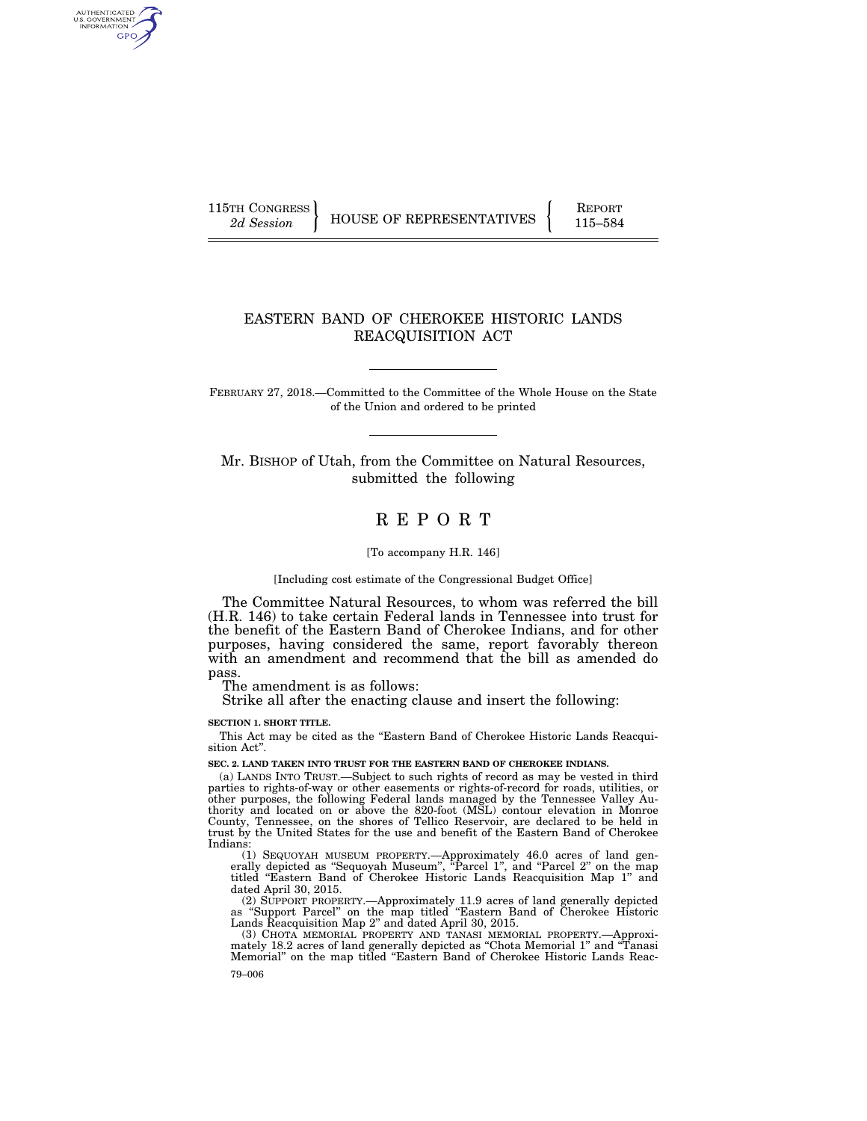AUTHENTICATED<br>U.S. GOVERNMENT<br>INFORMATION GPO

115TH CONGRESS HOUSE OF REPRESENTATIVES FEPORT 115–584

# EASTERN BAND OF CHEROKEE HISTORIC LANDS REACQUISITION ACT

FEBRUARY 27, 2018.—Committed to the Committee of the Whole House on the State of the Union and ordered to be printed

Mr. BISHOP of Utah, from the Committee on Natural Resources, submitted the following

# R E P O R T

#### [To accompany H.R. 146]

[Including cost estimate of the Congressional Budget Office]

The Committee Natural Resources, to whom was referred the bill (H.R. 146) to take certain Federal lands in Tennessee into trust for the benefit of the Eastern Band of Cherokee Indians, and for other purposes, having considered the same, report favorably thereon with an amendment and recommend that the bill as amended do pass.

The amendment is as follows:

Strike all after the enacting clause and insert the following:

**SECTION 1. SHORT TITLE.** 

This Act may be cited as the ''Eastern Band of Cherokee Historic Lands Reacquisition Act''.

**SEC. 2. LAND TAKEN INTO TRUST FOR THE EASTERN BAND OF CHEROKEE INDIANS.** 

(a) LANDS INTO TRUST.—Subject to such rights of record as may be vested in third parties to rights-of-way or other easements or rights-of-record for roads, utilities, or other purposes, the following Federal lands managed by the Tennessee Valley Au-thority and located on or above the 820-foot (MSL) contour elevation in Monroe County, Tennessee, on the shores of Tellico Reservoir, are declared to be held in trust by the United States for the use and benefit of the Eastern Band of Cherokee Indians:

(1) SEQUOYAH MUSEUM PROPERTY.—Approximately 46.0 acres of land generally depicted as "Sequoyah Museum", "Parcel 1", and "Parcel 2" on the map titled ''Eastern Band of Cherokee Historic Lands Reacquisition Map 1'' and dated April 30, 2015.

(2) SUPPORT PROPERTY.—Approximately 11.9 acres of land generally depicted as ''Support Parcel'' on the map titled ''Eastern Band of Cherokee Historic Lands Reacquisition Map 2'' and dated April 30, 2015.

(3) CHOTA MEMORIAL PROPERTY AND TANASI MEMORIAL PROPERTY.—Approximately 18.2 acres of land generally depicted as ''Chota Memorial 1'' and ''Tanasi Memorial'' on the map titled ''Eastern Band of Cherokee Historic Lands Reac-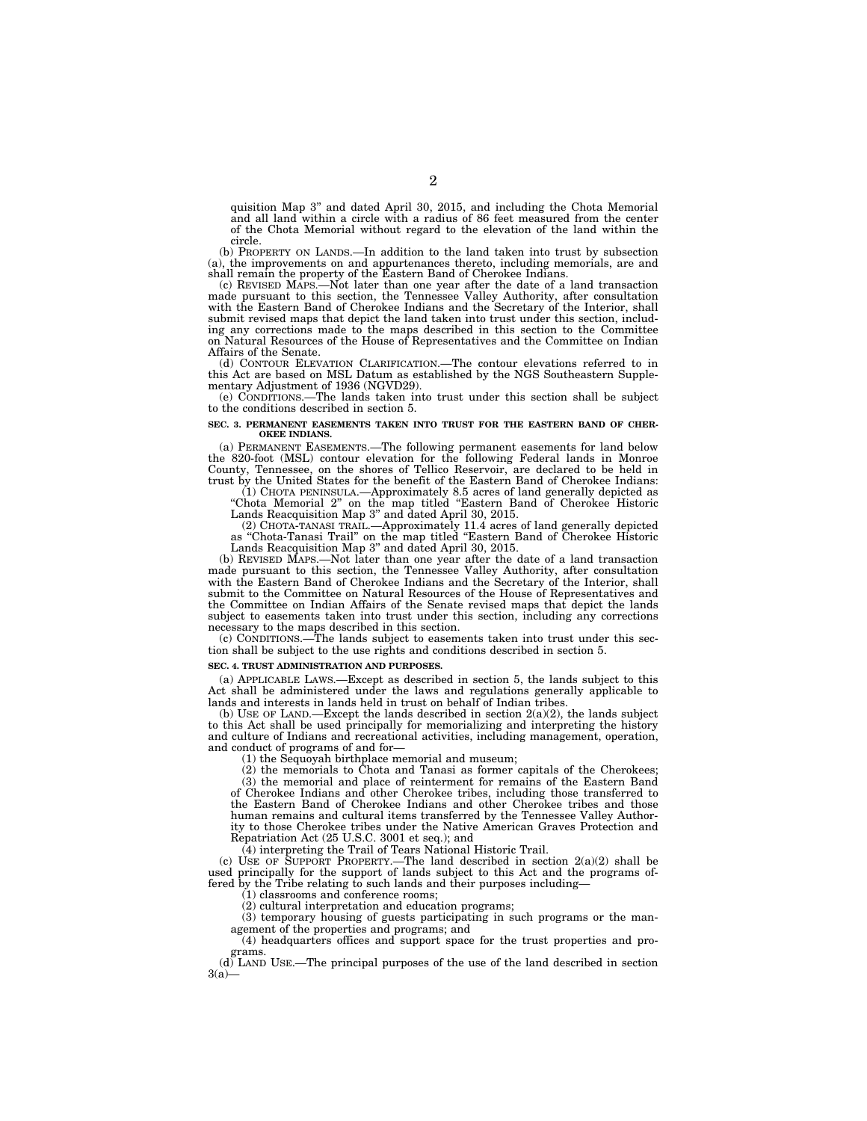quisition Map 3'' and dated April 30, 2015, and including the Chota Memorial and all land within a circle with a radius of 86 feet measured from the center of the Chota Memorial without regard to the elevation of the land within the circle.

(b) PROPERTY ON LANDS.—In addition to the land taken into trust by subsection (a), the improvements on and appurtenances thereto, including memorials, are and shall remain the property of the Eastern Band of Cherokee Indians.

(c) REVISED MAPS.—Not later than one year after the date of a land transaction made pursuant to this section, the Tennessee Valley Authority, after consultation with the Eastern Band of Cherokee Indians and the Secretary o submit revised maps that depict the land taken into trust under this section, including any corrections made to the maps described in this section to the Committee on Natural Resources of the House of Representatives and the Committee on Indian Affairs of the Senate.

(d) CONTOUR ELEVATION CLARIFICATION.—The contour elevations referred to in this Act are based on MSL Datum as established by the NGS Southeastern Supplementary Adjustment of 1936 (NGVD29).

(e) CONDITIONS.—The lands taken into trust under this section shall be subject to the conditions described in section 5.

#### **SEC. 3. PERMANENT EASEMENTS TAKEN INTO TRUST FOR THE EASTERN BAND OF CHER-OKEE INDIANS.**

(a) PERMANENT EASEMENTS.—The following permanent easements for land below the 820-foot (MSL) contour elevation for the following Federal lands in Monroe County, Tennessee, on the shores of Tellico Reservoir, are declared to be held in trust by the United States for the benefit of the Eastern Band of Cherokee Indians:

(1) CHOTA PENINSULA.—Approximately 8.5 acres of land generally depicted as ''Chota Memorial 2'' on the map titled ''Eastern Band of Cherokee Historic Lands Reacquisition Map 3'' and dated April 30, 2015.

(2) CHOTA-TANASI TRAIL.—Approximately 11.4 acres of land generally depicted as ''Chota-Tanasi Trail'' on the map titled ''Eastern Band of Cherokee Historic Lands Reacquisition Map 3'' and dated April 30, 2015.

(b) REVISED MAPS.—Not later than one year after the date of a land transaction made pursuant to this section, the Tennessee Valley Authority, after consultation with the Eastern Band of Cherokee Indians and the Secretary of the Interior, shall submit to the Committee on Natural Resources of the House of Representatives and the Committee on Indian Affairs of the Senate revised maps that depict the lands subject to easements taken into trust under this section, including any corrections necessary to the maps described in this section.

(c) CONDITIONS.—The lands subject to easements taken into trust under this section shall be subject to the use rights and conditions described in section 5.

#### **SEC. 4. TRUST ADMINISTRATION AND PURPOSES.**

(a) APPLICABLE LAWS.—Except as described in section 5, the lands subject to this Act shall be administered under the laws and regulations generally applicable to lands and interests in lands held in trust on behalf of Indian tribes.

(b) USE OF LAND.—Except the lands described in section  $2(a)(2)$ , the lands subject to this Act shall be used principally for memorializing and interpreting the history and culture of Indians and recreational activities, including management, operation, and conduct of programs of and for—

(1) the Sequoyah birthplace memorial and museum;

(2) the memorials to Chota and Tanasi as former capitals of the Cherokees;

(3) the memorial and place of reinterment for remains of the Eastern Band of Cherokee Indians and other Cherokee tribes, including those transferred to the Eastern Band of Cherokee Indians and other Cherokee tribes and those human remains and cultural items transferred by the Tennessee Valley Authority to those Cherokee tribes under the Native American Graves Protection and Repatriation Act (25 U.S.C. 3001 et seq.); and

(4) interpreting the Trail of Tears National Historic Trail.

(c) USE OF SUPPORT PROPERTY.—The land described in section  $2(a)(2)$  shall be used principally for the support of lands subject to this Act and the programs offered by the Tribe relating to such lands and their purposes including—

(1) classrooms and conference rooms;

(2) cultural interpretation and education programs;

(3) temporary housing of guests participating in such programs or the management of the properties and programs; and

(4) headquarters offices and support space for the trust properties and programs.

(d) LAND USE.—The principal purposes of the use of the land described in section  $3(a)$ —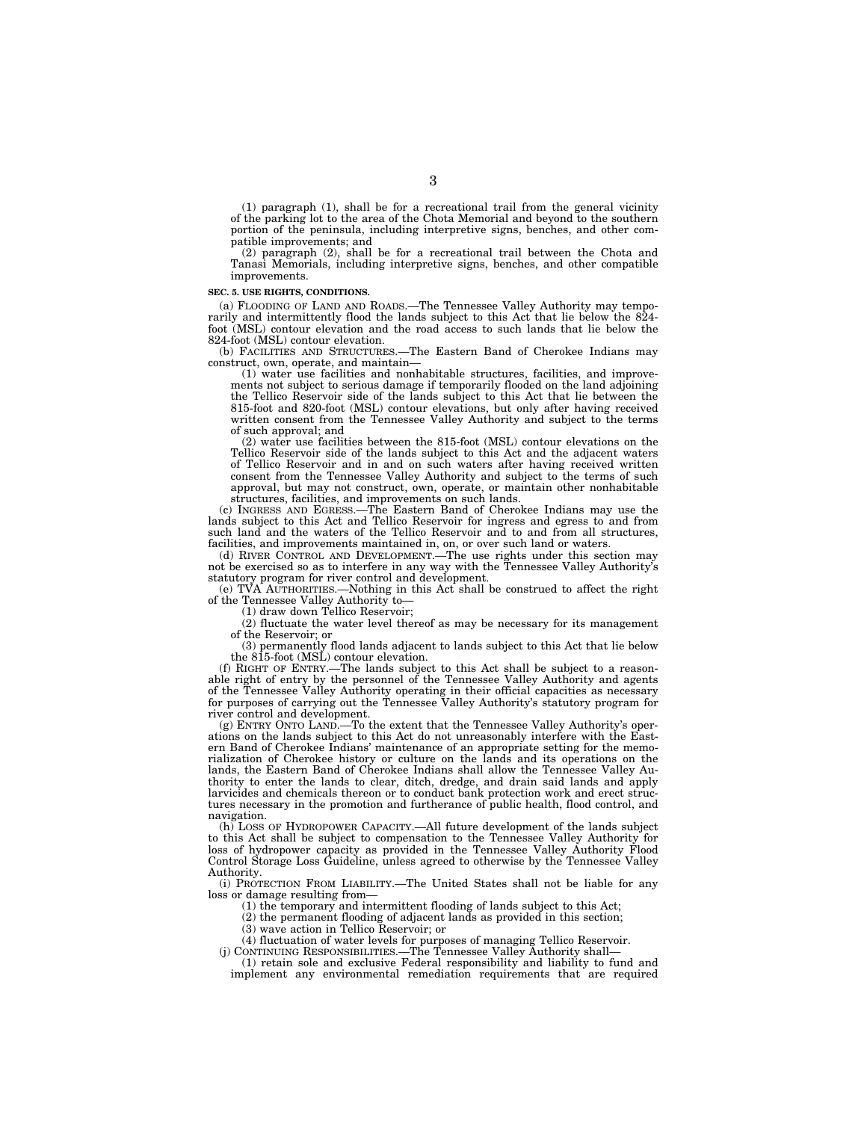(1) paragraph (1), shall be for a recreational trail from the general vicinity of the parking lot to the area of the Chota Memorial and beyond to the southern portion of the peninsula, including interpretive signs, benches, and other compatible improvements; and

(2) paragraph (2), shall be for a recreational trail between the Chota and Tanasi Memorials, including interpretive signs, benches, and other compatible improvements.

#### **SEC. 5. USE RIGHTS, CONDITIONS.**

(a) FLOODING OF LAND AND ROADS.—The Tennessee Valley Authority may temporarily and intermittently flood the lands subject to this Act that lie below the 824 foot (MSL) contour elevation and the road access to such lands that lie below the 824-foot (MSL) contour elevation.

(b) FACILITIES AND STRUCTURES.—The Eastern Band of Cherokee Indians may construct, own, operate, and maintain—

 $(1)$  water use facilities and nonhabitable structures, facilities, and improvements not subject to serious damage if temporarily flooded on the land adjoining the Tellico Reservoir side of the lands subject to this Act that lie between the 815-foot and 820-foot (MSL) contour elevations, but only after having received written consent from the Tennessee Valley Authority and subject to the terms of such approval; and

(2) water use facilities between the 815-foot (MSL) contour elevations on the Tellico Reservoir side of the lands subject to this Act and the adjacent waters of Tellico Reservoir and in and on such waters after having received written consent from the Tennessee Valley Authority and subject to the terms of such approval, but may not construct, own, operate, or maintain other nonhabitable structures, facilities, and improvements on such lands.

(c) INGRESS AND EGRESS.—The Eastern Band of Cherokee Indians may use the lands subject to this Act and Tellico Reservoir for ingress and egress to and from such land and the waters of the Tellico Reservoir and to and from all structures, facilities, and improvements maintained in, on, or over such land or waters.

(d) RIVER CONTROL AND DEVELOPMENT.—The use rights under this section may not be exercised so as to interfere in any way with the Tennessee Valley Authority's statutory program for river control and development.

(e) TVA AUTHORITIES.—Nothing in this Act shall be construed to affect the right of the Tennessee Valley Authority to—

(1) draw down Tellico Reservoir;

(2) fluctuate the water level thereof as may be necessary for its management of the Reservoir; or

(3) permanently flood lands adjacent to lands subject to this Act that lie below the 815-foot (MSL) contour elevation.

(f) RIGHT OF ENTRY.—The lands subject to this Act shall be subject to a reasonable right of entry by the personnel of the Tennessee Valley Authority and agents of the Tennessee Valley Authority operating in their official capacities as necessary for purposes of carrying out the Tennessee Valley Authority's statutory program for river control and development.

(g) ENTRY ONTO LAND.—To the extent that the Tennessee Valley Authority's operations on the lands subject to this Act do not unreasonably interfere with the Eastern Band of Cherokee Indians' maintenance of an appropriate setting for the memorialization of Cherokee history or culture on the lands and its operations on the lands, the Eastern Band of Cherokee Indians shall allow the Tennessee Valley Authority to enter the lands to clear, ditch, dredge, and drain said lands and apply larvicides and chemicals thereon or to conduct bank protection work and erect structures necessary in the promotion and furtherance of public health, flood control, and navigation.

(h) LOSS OF HYDROPOWER CAPACITY.—All future development of the lands subject to this Act shall be subject to compensation to the Tennessee Valley Authority for loss of hydropower capacity as provided in the Tennessee Valley Authority Flood Control Storage Loss Guideline, unless agreed to otherwise by the Tennessee Valley Authority.

(i) PROTECTION FROM LIABILITY.—The United States shall not be liable for any loss or damage resulting from—

(1) the temporary and intermittent flooding of lands subject to this Act;

(2) the permanent flooding of adjacent lands as provided in this section;

(3) wave action in Tellico Reservoir; or

(4) fluctuation of water levels for purposes of managing Tellico Reservoir.

(j) CONTINUING RESPONSIBILITIES.—The Tennessee Valley Authority shall— (1) retain sole and exclusive Federal responsibility and liability to fund and

implement any environmental remediation requirements that are required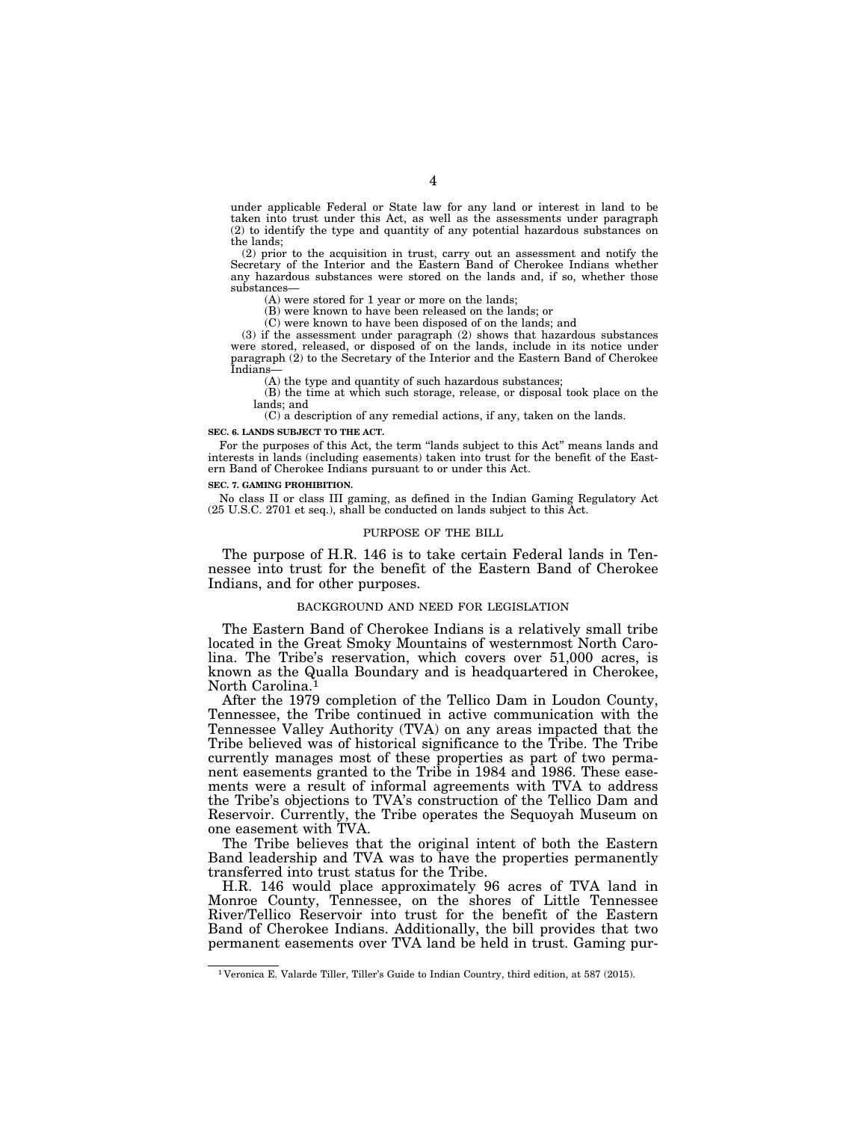under applicable Federal or State law for any land or interest in land to be taken into trust under this Act, as well as the assessments under paragraph (2) to identify the type and quantity of any potential hazardous substances on the lands;

(2) prior to the acquisition in trust, carry out an assessment and notify the Secretary of the Interior and the Eastern Band of Cherokee Indians whether any hazardous substances were stored on the lands and, if so, whether those substances—

(A) were stored for 1 year or more on the lands;

(B) were known to have been released on the lands; or

(C) were known to have been disposed of on the lands; and

(3) if the assessment under paragraph (2) shows that hazardous substances were stored, released, or disposed of on the lands, include in its notice under paragraph (2) to the Secretary of the Interior and the Eastern Band of Cherokee Indians—

(A) the type and quantity of such hazardous substances;

(B) the time at which such storage, release, or disposal took place on the lands; and

(C) a description of any remedial actions, if any, taken on the lands.

#### **SEC. 6. LANDS SUBJECT TO THE ACT.**

For the purposes of this Act, the term ''lands subject to this Act'' means lands and interests in lands (including easements) taken into trust for the benefit of the Eastern Band of Cherokee Indians pursuant to or under this Act.

#### **SEC. 7. GAMING PROHIBITION.**

No class II or class III gaming, as defined in the Indian Gaming Regulatory Act (25 U.S.C. 2701 et seq.), shall be conducted on lands subject to this Act.

#### PURPOSE OF THE BILL

The purpose of H.R. 146 is to take certain Federal lands in Tennessee into trust for the benefit of the Eastern Band of Cherokee Indians, and for other purposes.

#### BACKGROUND AND NEED FOR LEGISLATION

The Eastern Band of Cherokee Indians is a relatively small tribe located in the Great Smoky Mountains of westernmost North Carolina. The Tribe's reservation, which covers over 51,000 acres, is known as the Qualla Boundary and is headquartered in Cherokee, North Carolina.1

After the 1979 completion of the Tellico Dam in Loudon County, Tennessee, the Tribe continued in active communication with the Tennessee Valley Authority (TVA) on any areas impacted that the Tribe believed was of historical significance to the Tribe. The Tribe currently manages most of these properties as part of two permanent easements granted to the Tribe in 1984 and 1986. These easements were a result of informal agreements with TVA to address the Tribe's objections to TVA's construction of the Tellico Dam and Reservoir. Currently, the Tribe operates the Sequoyah Museum on one easement with TVA.

The Tribe believes that the original intent of both the Eastern Band leadership and TVA was to have the properties permanently transferred into trust status for the Tribe.

H.R. 146 would place approximately 96 acres of TVA land in Monroe County, Tennessee, on the shores of Little Tennessee River/Tellico Reservoir into trust for the benefit of the Eastern Band of Cherokee Indians. Additionally, the bill provides that two permanent easements over TVA land be held in trust. Gaming pur-

<sup>1</sup> Veronica E. Valarde Tiller, Tiller's Guide to Indian Country, third edition, at 587 (2015).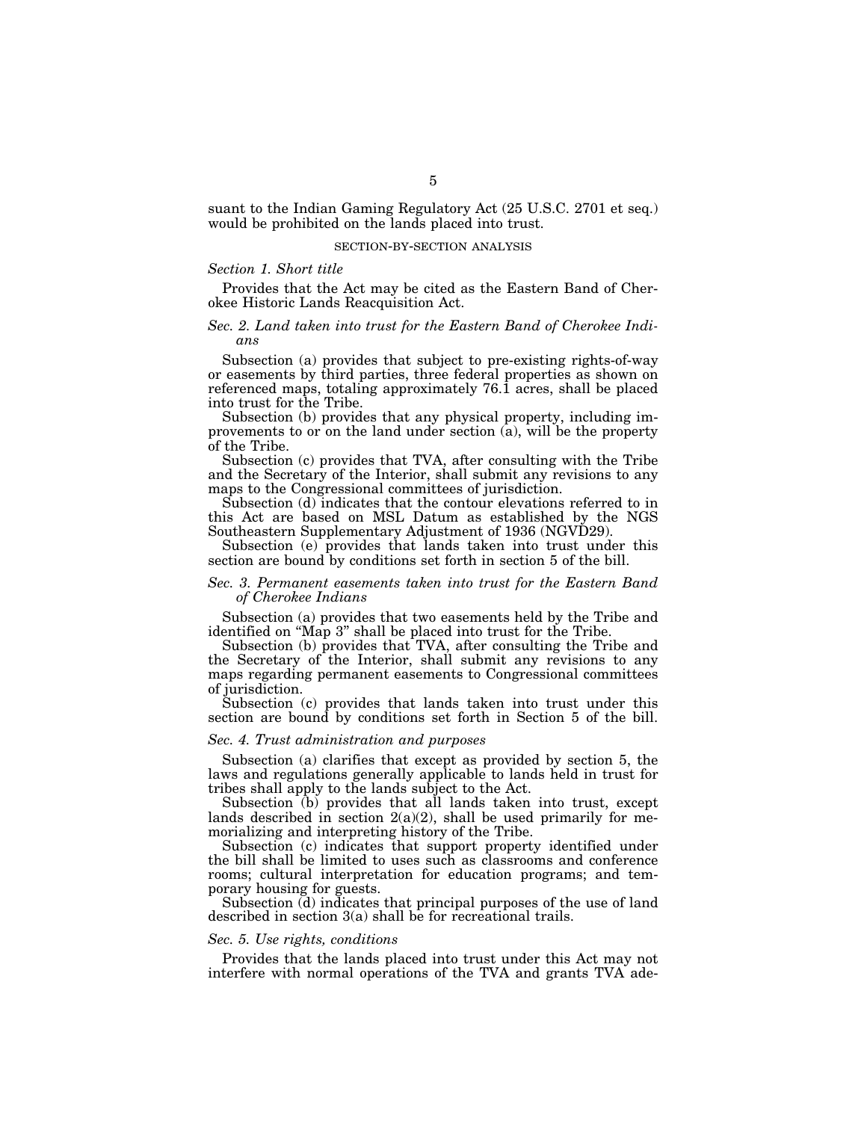suant to the Indian Gaming Regulatory Act (25 U.S.C. 2701 et seq.) would be prohibited on the lands placed into trust.

#### SECTION-BY-SECTION ANALYSIS

#### *Section 1. Short title*

Provides that the Act may be cited as the Eastern Band of Cherokee Historic Lands Reacquisition Act.

# *Sec. 2. Land taken into trust for the Eastern Band of Cherokee Indians*

Subsection (a) provides that subject to pre-existing rights-of-way or easements by third parties, three federal properties as shown on referenced maps, totaling approximately 76.1 acres, shall be placed into trust for the Tribe.

Subsection (b) provides that any physical property, including improvements to or on the land under section (a), will be the property of the Tribe.

Subsection (c) provides that TVA, after consulting with the Tribe and the Secretary of the Interior, shall submit any revisions to any maps to the Congressional committees of jurisdiction.

Subsection (d) indicates that the contour elevations referred to in this Act are based on MSL Datum as established by the NGS Southeastern Supplementary Adjustment of 1936 (NGVD29).

Subsection (e) provides that lands taken into trust under this section are bound by conditions set forth in section 5 of the bill.

# *Sec. 3. Permanent easements taken into trust for the Eastern Band of Cherokee Indians*

Subsection (a) provides that two easements held by the Tribe and identified on ''Map 3'' shall be placed into trust for the Tribe.

Subsection (b) provides that TVA, after consulting the Tribe and the Secretary of the Interior, shall submit any revisions to any maps regarding permanent easements to Congressional committees of jurisdiction.

Subsection (c) provides that lands taken into trust under this section are bound by conditions set forth in Section 5 of the bill.

# *Sec. 4. Trust administration and purposes*

Subsection (a) clarifies that except as provided by section 5, the laws and regulations generally applicable to lands held in trust for tribes shall apply to the lands subject to the Act.

Subsection (b) provides that all lands taken into trust, except lands described in section  $2(a)(2)$ , shall be used primarily for memorializing and interpreting history of the Tribe.

Subsection (c) indicates that support property identified under the bill shall be limited to uses such as classrooms and conference rooms; cultural interpretation for education programs; and temporary housing for guests.

Subsection (d) indicates that principal purposes of the use of land described in section 3(a) shall be for recreational trails.

#### *Sec. 5. Use rights, conditions*

Provides that the lands placed into trust under this Act may not interfere with normal operations of the TVA and grants TVA ade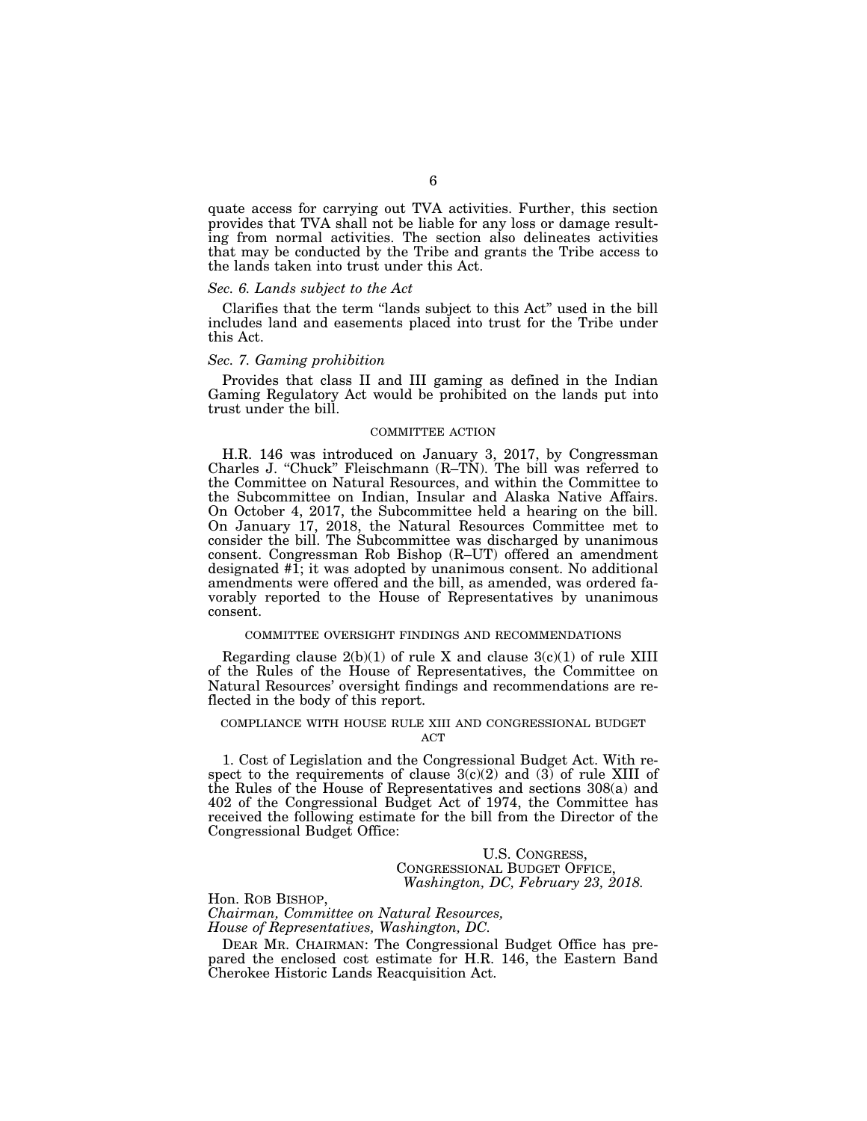quate access for carrying out TVA activities. Further, this section provides that TVA shall not be liable for any loss or damage resulting from normal activities. The section also delineates activities that may be conducted by the Tribe and grants the Tribe access to the lands taken into trust under this Act.

#### *Sec. 6. Lands subject to the Act*

Clarifies that the term ''lands subject to this Act'' used in the bill includes land and easements placed into trust for the Tribe under this Act.

#### *Sec. 7. Gaming prohibition*

Provides that class II and III gaming as defined in the Indian Gaming Regulatory Act would be prohibited on the lands put into trust under the bill.

#### COMMITTEE ACTION

H.R. 146 was introduced on January 3, 2017, by Congressman Charles J. ''Chuck'' Fleischmann (R–TN). The bill was referred to the Committee on Natural Resources, and within the Committee to the Subcommittee on Indian, Insular and Alaska Native Affairs. On October 4, 2017, the Subcommittee held a hearing on the bill. On January 17, 2018, the Natural Resources Committee met to consider the bill. The Subcommittee was discharged by unanimous consent. Congressman Rob Bishop (R–UT) offered an amendment designated #1; it was adopted by unanimous consent. No additional amendments were offered and the bill, as amended, was ordered favorably reported to the House of Representatives by unanimous consent.

#### COMMITTEE OVERSIGHT FINDINGS AND RECOMMENDATIONS

Regarding clause  $2(b)(1)$  of rule X and clause  $3(c)(1)$  of rule XIII of the Rules of the House of Representatives, the Committee on Natural Resources' oversight findings and recommendations are reflected in the body of this report.

#### COMPLIANCE WITH HOUSE RULE XIII AND CONGRESSIONAL BUDGET **ACT**

1. Cost of Legislation and the Congressional Budget Act. With respect to the requirements of clause  $3(c)(2)$  and  $(3)$  of rule XIII of the Rules of the House of Representatives and sections 308(a) and 402 of the Congressional Budget Act of 1974, the Committee has received the following estimate for the bill from the Director of the Congressional Budget Office:

# U.S. CONGRESS, CONGRESSIONAL BUDGET OFFICE, *Washington, DC, February 23, 2018.*

Hon. ROB BISHOP, *Chairman, Committee on Natural Resources, House of Representatives, Washington, DC.* 

DEAR MR. CHAIRMAN: The Congressional Budget Office has prepared the enclosed cost estimate for H.R. 146, the Eastern Band Cherokee Historic Lands Reacquisition Act.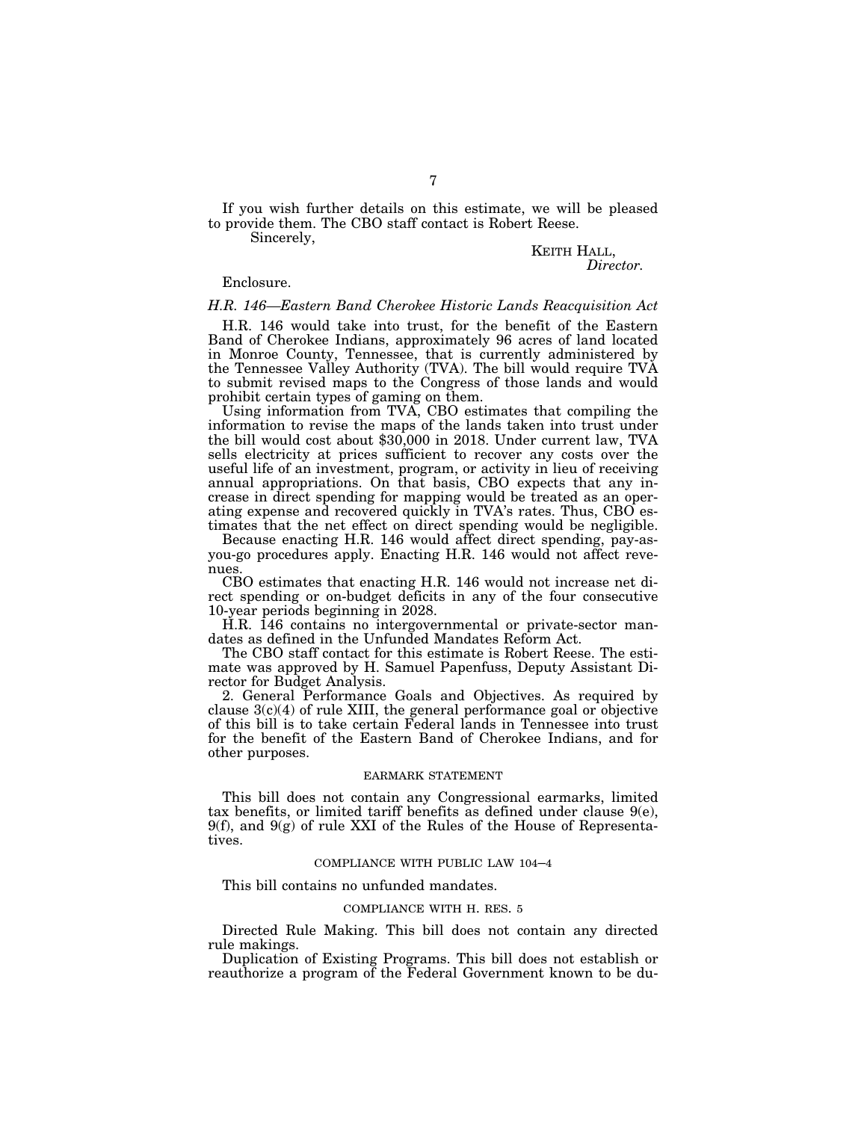If you wish further details on this estimate, we will be pleased to provide them. The CBO staff contact is Robert Reese.

Sincerely,

# KEITH HALL, *Director.*

#### Enclosure.

#### *H.R. 146—Eastern Band Cherokee Historic Lands Reacquisition Act*

H.R. 146 would take into trust, for the benefit of the Eastern Band of Cherokee Indians, approximately 96 acres of land located in Monroe County, Tennessee, that is currently administered by the Tennessee Valley Authority (TVA). The bill would require TVA to submit revised maps to the Congress of those lands and would prohibit certain types of gaming on them.

Using information from TVA, CBO estimates that compiling the information to revise the maps of the lands taken into trust under the bill would cost about \$30,000 in 2018. Under current law, TVA sells electricity at prices sufficient to recover any costs over the useful life of an investment, program, or activity in lieu of receiving annual appropriations. On that basis, CBO expects that any increase in direct spending for mapping would be treated as an operating expense and recovered quickly in TVA's rates. Thus, CBO estimates that the net effect on direct spending would be negligible.

Because enacting H.R. 146 would affect direct spending, pay-asyou-go procedures apply. Enacting H.R. 146 would not affect revenues.

CBO estimates that enacting H.R. 146 would not increase net direct spending or on-budget deficits in any of the four consecutive 10-year periods beginning in 2028.

H.R. 146 contains no intergovernmental or private-sector mandates as defined in the Unfunded Mandates Reform Act.

The CBO staff contact for this estimate is Robert Reese. The estimate was approved by H. Samuel Papenfuss, Deputy Assistant Director for Budget Analysis.

2. General Performance Goals and Objectives. As required by clause  $3(c)(4)$  of rule XIII, the general performance goal or objective of this bill is to take certain Federal lands in Tennessee into trust for the benefit of the Eastern Band of Cherokee Indians, and for other purposes.

#### EARMARK STATEMENT

This bill does not contain any Congressional earmarks, limited tax benefits, or limited tariff benefits as defined under clause  $9(e)$ ,  $9(f)$ , and  $9(g)$  of rule XXI of the Rules of the House of Representatives.

### COMPLIANCE WITH PUBLIC LAW 104–4

This bill contains no unfunded mandates.

# COMPLIANCE WITH H. RES. 5

Directed Rule Making. This bill does not contain any directed rule makings.

Duplication of Existing Programs. This bill does not establish or reauthorize a program of the Federal Government known to be du-